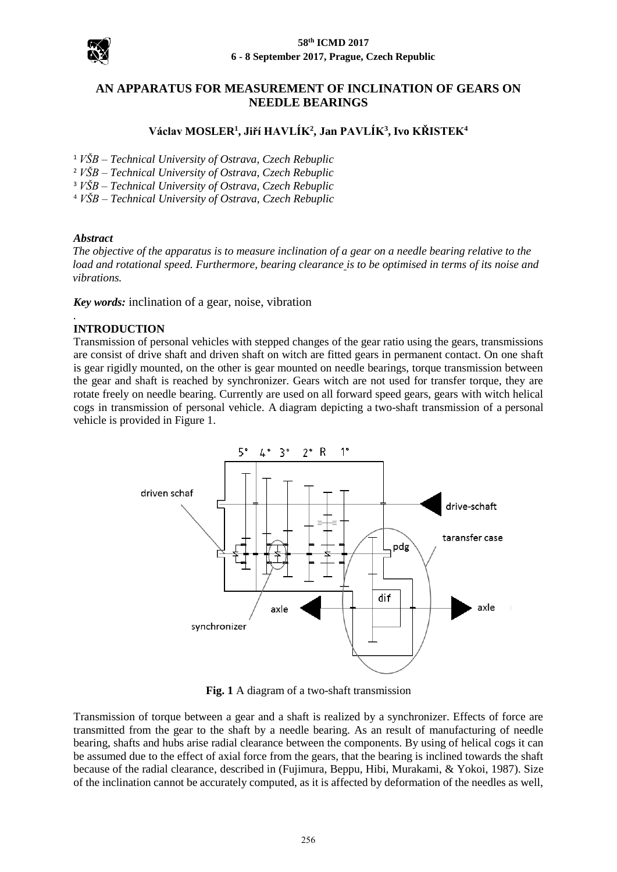

#### **58th ICMD 2017 6 - 8 September 2017, Prague, Czech Republic**

# **AN APPARATUS FOR MEASUREMENT OF INCLINATION OF GEARS ON NEEDLE BEARINGS**

# **Václav MOSLER<sup>1</sup> , Jiří HAVLÍK<sup>2</sup> , Jan PAVLÍK<sup>3</sup> , Ivo KŘISTEK<sup>4</sup>**

- <sup>1</sup> *VŠB – Technical University of Ostrava, Czech Rebuplic*
- <sup>2</sup> *VŠB – Technical University of Ostrava, Czech Rebuplic*
- <sup>3</sup> *VŠB – Technical University of Ostrava, Czech Rebuplic*
- <sup>4</sup> *VŠB – Technical University of Ostrava, Czech Rebuplic*

#### *Abstract*

*The objective of the apparatus is to measure inclination of a gear on a needle bearing relative to the load and rotational speed. Furthermore, bearing clearance is to be optimised in terms of its noise and vibrations.* 

*Key words:* inclination of a gear, noise, vibration

#### *.* **INTRODUCTION**

Transmission of personal vehicles with stepped changes of the gear ratio using the gears, transmissions are consist of drive shaft and driven shaft on witch are fitted gears in permanent contact. On one shaft is gear rigidly mounted, on the other is gear mounted on needle bearings, torque transmission between the gear and shaft is reached by synchronizer. Gears witch are not used for transfer torque, they are rotate freely on needle bearing. Currently are used on all forward speed gears, gears with witch helical cogs in transmission of personal vehicle. A diagram depicting a two-shaft transmission of a personal vehicle is provided in Figure 1.



**Fig. 1** A diagram of a two-shaft transmission

Transmission of torque between a gear and a shaft is realized by a synchronizer. Effects of force are transmitted from the gear to the shaft by a needle bearing. As an result of manufacturing of needle bearing, shafts and hubs arise radial clearance between the components. By using of helical cogs it can be assumed due to the effect of axial force from the gears, that the bearing is inclined towards the shaft because of the radial clearance, described in (Fujimura, Beppu, Hibi, Murakami, & Yokoi, 1987). Size of the inclination cannot be accurately computed, as it is affected by deformation of the needles as well,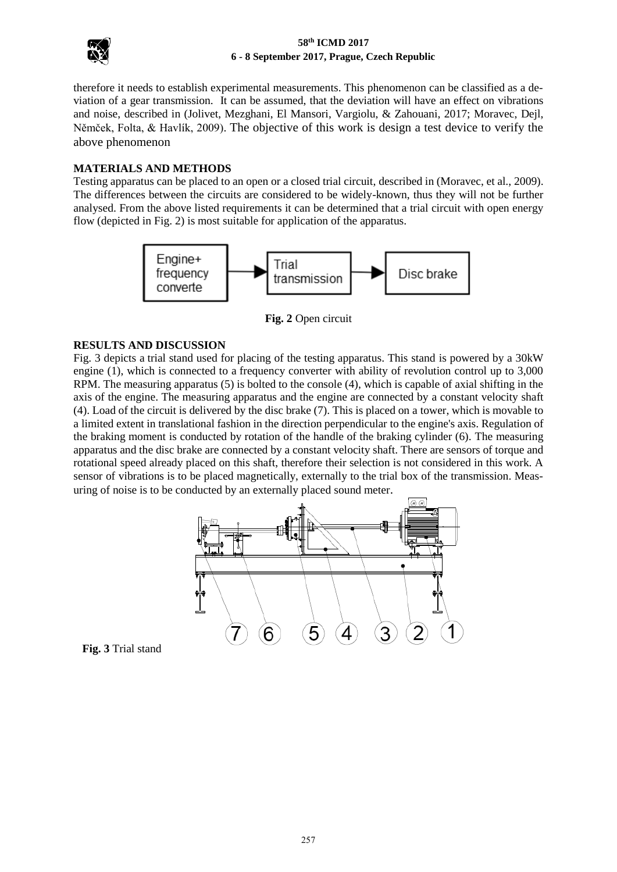

### **58th ICMD 2017 6 - 8 September 2017, Prague, Czech Republic**

therefore it needs to establish experimental measurements. This phenomenon can be classified as a deviation of a gear transmission. It can be assumed, that the deviation will have an effect on vibrations and noise, described in (Jolivet, Mezghani, El Mansori, Vargiolu, & Zahouani, 2017; Moravec, Dejl, Němček, Folta, & Havlík, 2009). The objective of this work is design a test device to verify the above phenomenon

## **MATERIALS AND METHODS**

Testing apparatus can be placed to an open or a closed trial circuit, described in (Moravec, et al., 2009). The differences between the circuits are considered to be widely-known, thus they will not be further analysed. From the above listed requirements it can be determined that a trial circuit with open energy flow (depicted in Fig. 2) is most suitable for application of the apparatus.



**Fig. 2** Open circuit

# **RESULTS AND DISCUSSION**

Fig. 3 depicts a trial stand used for placing of the testing apparatus. This stand is powered by a 30kW engine (1), which is connected to a frequency converter with ability of revolution control up to 3,000 RPM. The measuring apparatus (5) is bolted to the console (4), which is capable of axial shifting in the axis of the engine. The measuring apparatus and the engine are connected by a constant velocity shaft (4). Load of the circuit is delivered by the disc brake (7). This is placed on a tower, which is movable to a limited extent in translational fashion in the direction perpendicular to the engine's axis. Regulation of the braking moment is conducted by rotation of the handle of the braking cylinder (6). The measuring apparatus and the disc brake are connected by a constant velocity shaft. There are sensors of torque and rotational speed already placed on this shaft, therefore their selection is not considered in this work. A sensor of vibrations is to be placed magnetically, externally to the trial box of the transmission. Measuring of noise is to be conducted by an externally placed sound meter.



**Fig. 3** Trial stand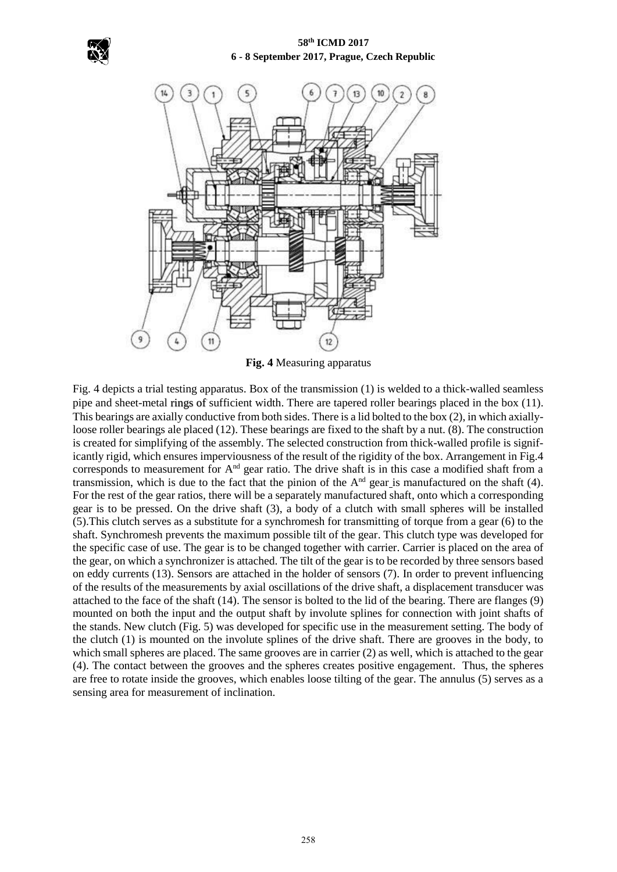



**Fig. 4** Measuring apparatus

Fig. 4 depicts a trial testing apparatus. Box of the transmission (1) is welded to a thick-walled seamless pipe and sheet-metal rings of sufficient width. There are tapered roller bearings placed in the box (11). This bearings are axially conductive from both sides. There is a lid bolted to the box (2), in which axiallyloose roller bearings ale placed (12). These bearings are fixed to the shaft by a nut. (8). The construction is created for simplifying of the assembly. The selected construction from thick-walled profile is significantly rigid, which ensures imperviousness of the result of the rigidity of the box. Arrangement in Fig.4 corresponds to measurement for And gear ratio. The drive shaft is in this case a modified shaft from a transmission, which is due to the fact that the pinion of the  $A<sup>nd</sup>$  gear is manufactured on the shaft (4). For the rest of the gear ratios, there will be a separately manufactured shaft, onto which a corresponding gear is to be pressed. On the drive shaft (3), a body of a clutch with small spheres will be installed (5).This clutch serves as a substitute for a synchromesh for transmitting of torque from a gear (6) to the shaft. Synchromesh prevents the maximum possible tilt of the gear. This clutch type was developed for the specific case of use. The gear is to be changed together with carrier. Carrier is placed on the area of the gear, on which a synchronizer is attached. The tilt of the gear is to be recorded by three sensors based on eddy currents (13). Sensors are attached in the holder of sensors (7). In order to prevent influencing of the results of the measurements by axial oscillations of the drive shaft, a displacement transducer was attached to the face of the shaft (14). The sensor is bolted to the lid of the bearing. There are flanges (9) mounted on both the input and the output shaft by involute splines for connection with joint shafts of the stands. New clutch (Fig. 5) was developed for specific use in the measurement setting. The body of the clutch (1) is mounted on the involute splines of the drive shaft. There are grooves in the body, to which small spheres are placed. The same grooves are in carrier (2) as well, which is attached to the gear (4). The contact between the grooves and the spheres creates positive engagement. Thus, the spheres are free to rotate inside the grooves, which enables loose tilting of the gear. The annulus (5) serves as a sensing area for measurement of inclination.